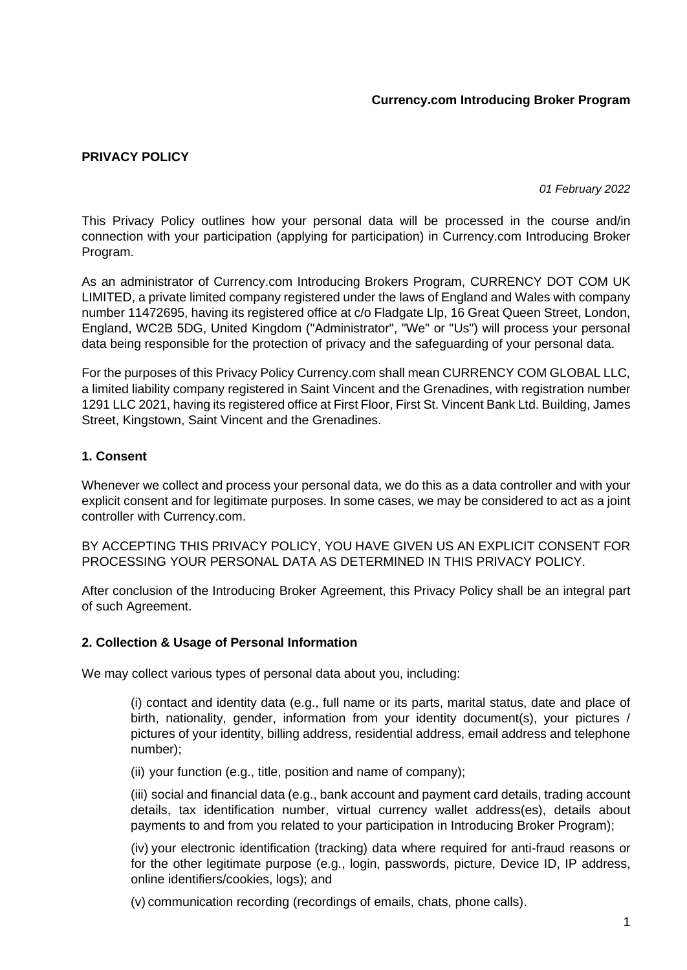## **Currency.com Introducing Broker Program**

## **PRIVACY POLICY**

*01 February 2022*

This Privacy Policy outlines how your personal data will be processed in the course and/in connection with your participation (applying for participation) in Currency.com Introducing Broker Program.

As an administrator of Currency.com Introducing Brokers Program, CURRENCY DOT COM UK LIMITED, a private limited company registered under the laws of England and Wales with company number 11472695, having its registered office at c/o Fladgate Llp, 16 Great Queen Street, London, England, WC2B 5DG, United Kingdom ("Administrator", "We" or "Us") will process your personal data being responsible for the protection of privacy and the safeguarding of your personal data.

For the purposes of this Privacy Policy Currency.com shall mean CURRENCY COM GLOBAL LLC, a limited liability company registered in Saint Vincent and the Grenadines, with registration number 1291 LLC 2021, having its registered office at First Floor, First St. Vincent Bank Ltd. Building, James Street, Kingstown, Saint Vincent and the Grenadines.

### **1. Consent**

Whenever we collect and process your personal data, we do this as a data controller and with your explicit consent and for legitimate purposes. In some cases, we may be considered to act as a joint controller with Currency.com.

BY ACCEPTING THIS PRIVACY POLICY, YOU HAVE GIVEN US AN EXPLICIT CONSENT FOR PROCESSING YOUR PERSONAL DATA AS DETERMINED IN THIS PRIVACY POLICY.

After conclusion of the Introducing Broker Agreement, this Privacy Policy shall be an integral part of such Agreement.

#### **2. Collection & Usage of Personal Information**

We may collect various types of personal data about you, including:

(i) contact and identity data (e.g., full name or its parts, marital status, date and place of birth, nationality, gender, information from your identity document(s), your pictures / pictures of your identity, billing address, residential address, email address and telephone number);

(ii) your function (e.g., title, position and name of company);

(iii) social and financial data (e.g., bank account and payment card details, trading account details, tax identification number, virtual currency wallet address(es), details about payments to and from you related to your participation in Introducing Broker Program);

(iv) your electronic identification (tracking) data where required for anti-fraud reasons or for the other legitimate purpose (e.g., login, passwords, picture, Device ID, IP address, online identifiers/cookies, logs); and

(v) communication recording (recordings of emails, chats, phone calls).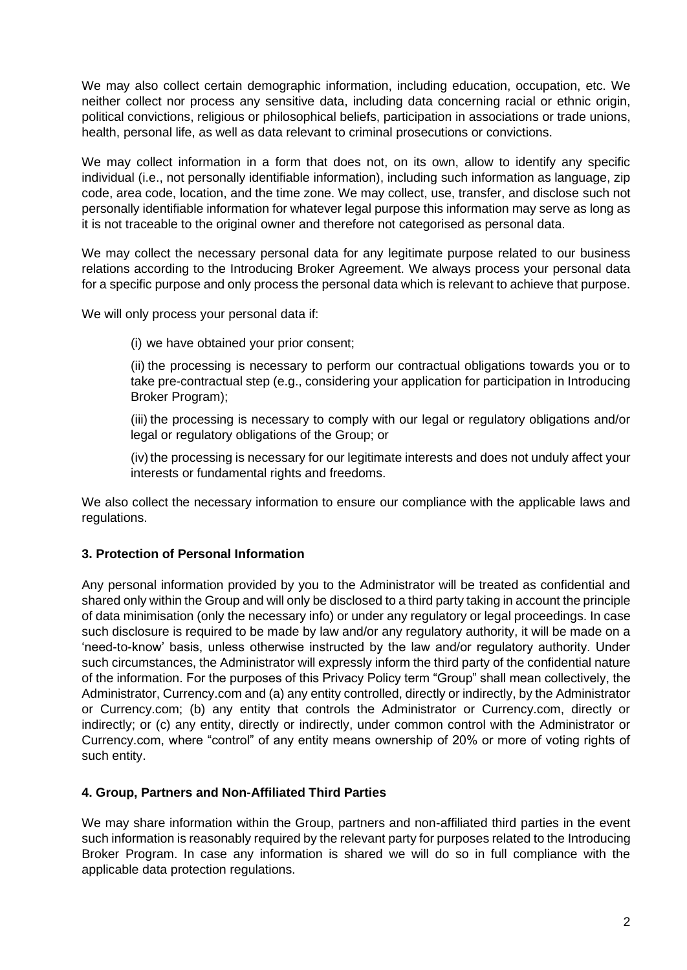We may also collect certain demographic information, including education, occupation, etc. We neither collect nor process any sensitive data, including data concerning racial or ethnic origin, political convictions, religious or philosophical beliefs, participation in associations or trade unions, health, personal life, as well as data relevant to criminal prosecutions or convictions.

We may collect information in a form that does not, on its own, allow to identify any specific individual (i.e., not personally identifiable information), including such information as language, zip code, area code, location, and the time zone. We may collect, use, transfer, and disclose such not personally identifiable information for whatever legal purpose this information may serve as long as it is not traceable to the original owner and therefore not categorised as personal data.

We may collect the necessary personal data for any legitimate purpose related to our business relations according to the Introducing Broker Agreement. We always process your personal data for a specific purpose and only process the personal data which is relevant to achieve that purpose.

We will only process your personal data if:

(i) we have obtained your prior consent;

(ii) the processing is necessary to perform our contractual obligations towards you or to take pre-contractual step (e.g., considering your application for participation in Introducing Broker Program);

(iii) the processing is necessary to comply with our legal or regulatory obligations and/or legal or regulatory obligations of the Group; or

(iv) the processing is necessary for our legitimate interests and does not unduly affect your interests or fundamental rights and freedoms.

We also collect the necessary information to ensure our compliance with the applicable laws and regulations.

# **3. Protection of Personal Information**

Any personal information provided by you to the Administrator will be treated as confidential and shared only within the Group and will only be disclosed to a third party taking in account the principle of data minimisation (only the necessary info) or under any regulatory or legal proceedings. In case such disclosure is required to be made by law and/or any regulatory authority, it will be made on a 'need-to-know' basis, unless otherwise instructed by the law and/or regulatory authority. Under such circumstances, the Administrator will expressly inform the third party of the confidential nature of the information. For the purposes of this Privacy Policy term "Group" shall mean collectively, the Administrator, Currency.com and (a) any entity controlled, directly or indirectly, by the Administrator or Currency.com; (b) any entity that controls the Administrator or Currency.com, directly or indirectly; or (c) any entity, directly or indirectly, under common control with the Administrator or Currency.com, where "control" of any entity means ownership of 20% or more of voting rights of such entity.

# **4. Group, Partners and Non-Affiliated Third Parties**

We may share information within the Group, partners and non-affiliated third parties in the event such information is reasonably required by the relevant party for purposes related to the Introducing Broker Program. In case any information is shared we will do so in full compliance with the applicable data protection regulations.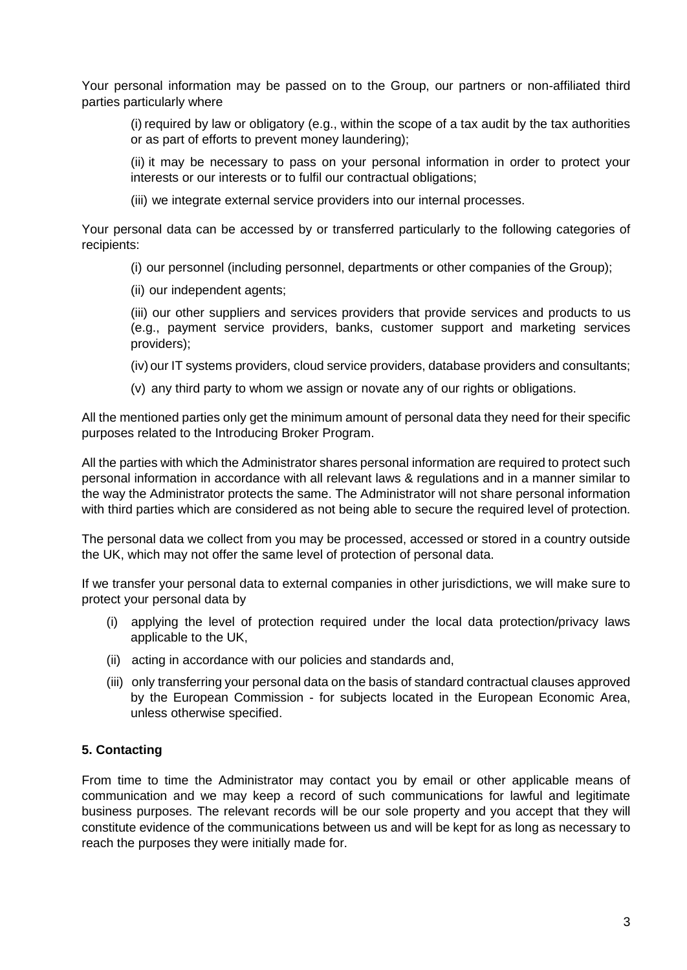Your personal information may be passed on to the Group, our partners or non-affiliated third parties particularly where

(i) required by law or obligatory (e.g., within the scope of a tax audit by the tax authorities or as part of efforts to prevent money laundering);

(ii) it may be necessary to pass on your personal information in order to protect your interests or our interests or to fulfil our contractual obligations;

(iii) we integrate external service providers into our internal processes.

Your personal data can be accessed by or transferred particularly to the following categories of recipients:

(i) our personnel (including personnel, departments or other companies of the Group);

(ii) our independent agents;

(iii) our other suppliers and services providers that provide services and products to us (e.g., payment service providers, banks, customer support and marketing services providers);

(iv) our IT systems providers, cloud service providers, database providers and consultants;

(v) any third party to whom we assign or novate any of our rights or obligations.

All the mentioned parties only get the minimum amount of personal data they need for their specific purposes related to the Introducing Broker Program.

All the parties with which the Administrator shares personal information are required to protect such personal information in accordance with all relevant laws & regulations and in a manner similar to the way the Administrator protects the same. The Administrator will not share personal information with third parties which are considered as not being able to secure the required level of protection.

The personal data we collect from you may be processed, accessed or stored in a country outside the UK, which may not offer the same level of protection of personal data.

If we transfer your personal data to external companies in other jurisdictions, we will make sure to protect your personal data by

- (i) applying the level of protection required under the local data protection/privacy laws applicable to the UK,
- (ii) acting in accordance with our policies and standards and,
- (iii) only transferring your personal data on the basis of standard contractual clauses approved by the European Commission - for subjects located in the European Economic Area, unless otherwise specified.

### **5. Contacting**

From time to time the Administrator may contact you by email or other applicable means of communication and we may keep a record of such communications for lawful and legitimate business purposes. The relevant records will be our sole property and you accept that they will constitute evidence of the communications between us and will be kept for as long as necessary to reach the purposes they were initially made for.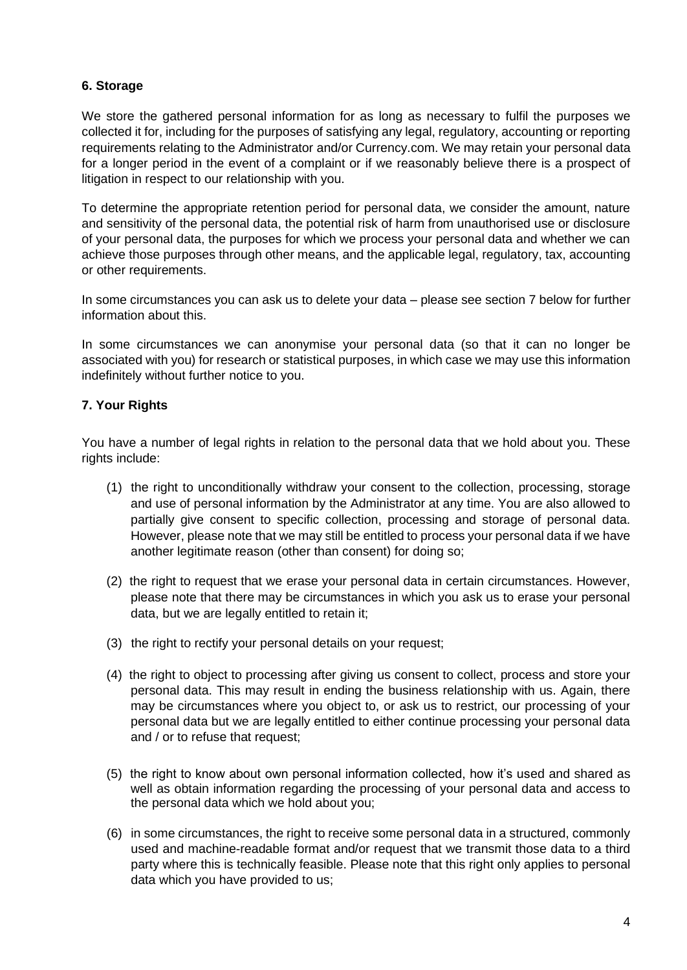# **6. Storage**

We store the gathered personal information for as long as necessary to fulfil the purposes we collected it for, including for the purposes of satisfying any legal, regulatory, accounting or reporting requirements relating to the Administrator and/or Currency.com. We may retain your personal data for a longer period in the event of a complaint or if we reasonably believe there is a prospect of litigation in respect to our relationship with you.

To determine the appropriate retention period for personal data, we consider the amount, nature and sensitivity of the personal data, the potential risk of harm from unauthorised use or disclosure of your personal data, the purposes for which we process your personal data and whether we can achieve those purposes through other means, and the applicable legal, regulatory, tax, accounting or other requirements.

In some circumstances you can ask us to delete your data – please see section 7 below for further information about this.

In some circumstances we can anonymise your personal data (so that it can no longer be associated with you) for research or statistical purposes, in which case we may use this information indefinitely without further notice to you.

## **7. Your Rights**

You have a number of legal rights in relation to the personal data that we hold about you. These rights include:

- (1) the right to unconditionally withdraw your consent to the collection, processing, storage and use of personal information by the Administrator at any time. You are also allowed to partially give consent to specific collection, processing and storage of personal data. However, please note that we may still be entitled to process your personal data if we have another legitimate reason (other than consent) for doing so;
- (2) the right to request that we erase your personal data in certain circumstances. However, please note that there may be circumstances in which you ask us to erase your personal data, but we are legally entitled to retain it;
- (3) the right to rectify your personal details on your request;
- (4) the right to object to processing after giving us consent to collect, process and store your personal data. This may result in ending the business relationship with us. Again, there may be circumstances where you object to, or ask us to restrict, our processing of your personal data but we are legally entitled to either continue processing your personal data and / or to refuse that request;
- (5) the right to know about own personal information collected, how it's used and shared as well as obtain information regarding the processing of your personal data and access to the personal data which we hold about you;
- (6) in some circumstances, the right to receive some personal data in a structured, commonly used and machine-readable format and/or request that we transmit those data to a third party where this is technically feasible. Please note that this right only applies to personal data which you have provided to us;